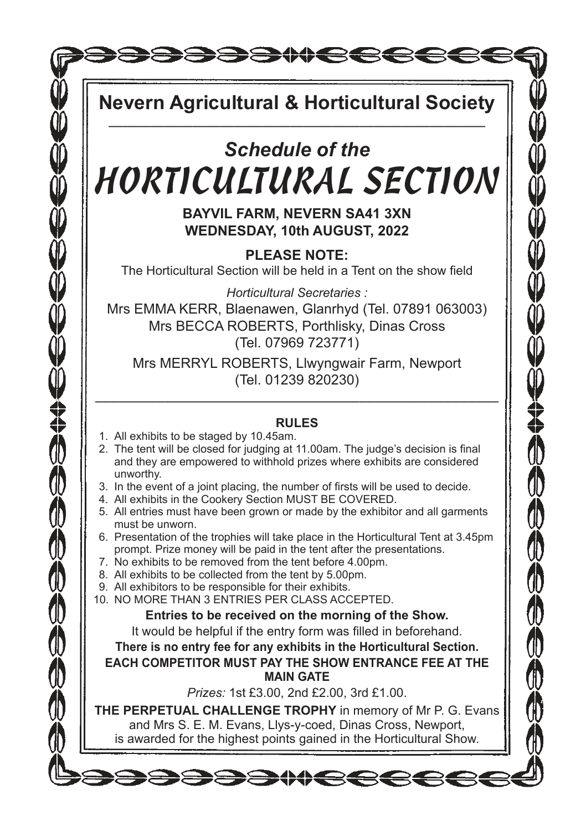**SEEMCCCCC** 

**Nevern Agricultural & Horticultural Society** ———————————————————————————

# *Schedule of the*  HORTICULTURAL SECTION

**BAYVIL FARM, NEVERN SA41 3XN WEDNESDAY, 10th AUGUST, 2022**

**PLEASE NOTE:**  The Horticultural Section will be held in a Tent on the show field

*Horticultural Secretaries :* Mrs EMMA KERR, Blaenawen, Glanrhyd (Tel. 07891 063003) Mrs BECCA ROBERTS, Porthlisky, Dinas Cross (Tel. 07969 723771)

Mrs MERRYL ROBERTS, Llwyngwair Farm, Newport (Tel. 01239 820230)

### –––––––––––––––––––––––––––––––––––––––––––––––––––– **RULES**

1. All exhibits to be staged by 10.45am.

SSSSSSSSSSSSSSSSS

- 2. The tent will be closed for judging at 11.00am. The judge's decision is final and they are empowered to withhold prizes where exhibits are considered unworthy.
- 3. In the event of a joint placing, the number of firsts will be used to decide.
- 4. All exhibits in the Cookery Section MUST BE COVERED.
- 5. All entries must have been grown or made by the exhibitor and all garments must be unworn.
- 6. Presentation of the trophies will take place in the Horticultural Tent at 3.45pm prompt. Prize money will be paid in the tent after the presentations.
- 7. No exhibits to be removed from the tent before 4.00pm.
- 8. All exhibits to be collected from the tent by 5.00pm.
- 9. All exhibitors to be responsible for their exhibits.
- 10. NO MORE THAN 3 ENTRIES PER CLASS ACCEPTED.

**Entries to be received on the morning of the Show.**

It would be helpful if the entry form was filled in beforehand.

**There is no entry fee for any exhibits in the Horticultural Section.**

**EACH COMPETITOR MUST PAY THE SHOW ENTRANCE FEE AT THE MAIN GATE**

*Prizes:* 1st £3.00, 2nd £2.00, 3rd £1.00.

**THE PERPETUAL CHALLENGE TROPHY** in memory of Mr P. G. Evans and Mrs S. E. M. Evans, Llys-y-coed, Dinas Cross, Newport, is awarded for the highest points gained in the Horticultural Show.

DE AMERICA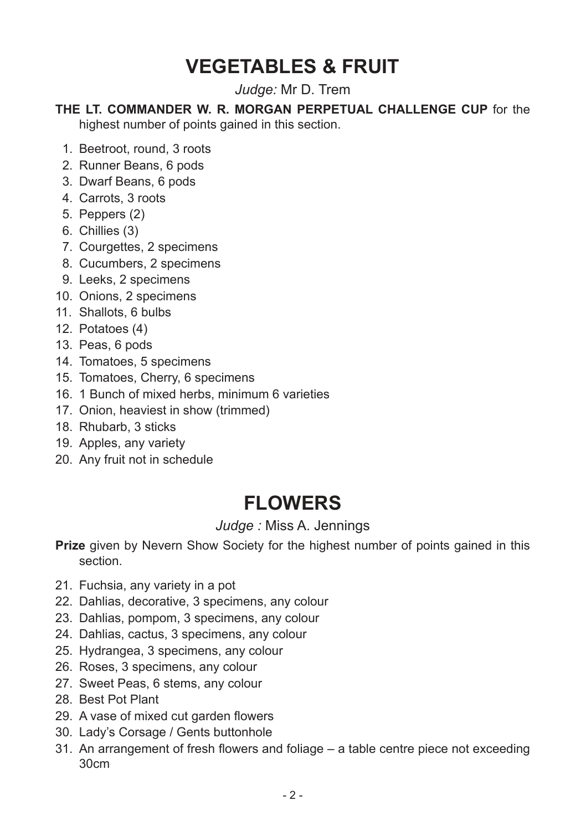# **VEGETABLES & FRUIT**

*Judge:* Mr D. Trem

#### **THE LT. COMMANDER W. R. MORGAN PERPETUAL CHALLENGE CUP** for the highest number of points gained in this section.

- 1. Beetroot, round, 3 roots
- 2. Runner Beans, 6 pods
- 3. Dwarf Beans, 6 pods
- 4. Carrots, 3 roots
- 5. Peppers (2)
- 6. Chillies (3)
- 7. Courgettes, 2 specimens
- 8. Cucumbers, 2 specimens
- 9. Leeks, 2 specimens
- 10. Onions, 2 specimens
- 11. Shallots, 6 bulbs
- 12. Potatoes (4)
- 13. Peas, 6 pods
- 14. Tomatoes, 5 specimens
- 15. Tomatoes, Cherry, 6 specimens
- 16. 1 Bunch of mixed herbs, minimum 6 varieties
- 17. Onion, heaviest in show (trimmed)
- 18. Rhubarb, 3 sticks
- 19. Apples, any variety
- 20. Any fruit not in schedule

### **FLOWERS**

### *Judge :* Miss A. Jennings

**Prize** given by Nevern Show Society for the highest number of points gained in this section.

- 21. Fuchsia, any variety in a pot
- 22. Dahlias, decorative, 3 specimens, any colour
- 23. Dahlias, pompom, 3 specimens, any colour
- 24. Dahlias, cactus, 3 specimens, any colour
- 25. Hydrangea, 3 specimens, any colour
- 26. Roses, 3 specimens, any colour
- 27. Sweet Peas, 6 stems, any colour
- 28. Best Pot Plant
- 29. A vase of mixed cut garden flowers
- 30. Lady's Corsage / Gents buttonhole
- 31. An arrangement of fresh flowers and foliage a table centre piece not exceeding 30cm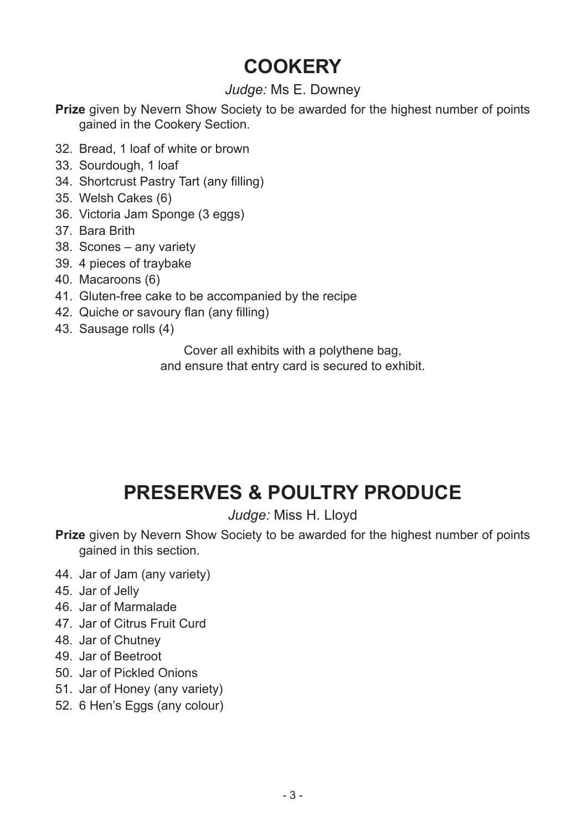# **COOKERY**

### *Judge:* Ms E. Downey

**Prize** given by Nevern Show Society to be awarded for the highest number of points gained in the Cookery Section.

- 32. Bread, 1 loaf of white or brown
- 33. Sourdough, 1 loaf
- 34. Shortcrust Pastry Tart (any filling)
- 35. Welsh Cakes (6)
- 36. Victoria Jam Sponge (3 eggs)
- 37. Bara Brith
- 38. Scones any variety
- 39. 4 pieces of traybake
- 40. Macaroons (6)
- 41. Gluten-free cake to be accompanied by the recipe
- 42. Quiche or savoury flan (any filling)
- 43. Sausage rolls (4)

Cover all exhibits with a polythene bag, and ensure that entry card is secured to exhibit.

# **PRESERVES & POULTRY PRODUCE**

### *Judge:* Miss H. Lloyd

**Prize** given by Nevern Show Society to be awarded for the highest number of points gained in this section.

- 44. Jar of Jam (any variety)
- 45. Jar of Jelly
- 46. Jar of Marmalade
- 47. Jar of Citrus Fruit Curd
- 48. Jar of Chutney
- 49. Jar of Beetroot
- 50. Jar of Pickled Onions
- 51. Jar of Honey (any variety)
- 52. 6 Hen's Eggs (any colour)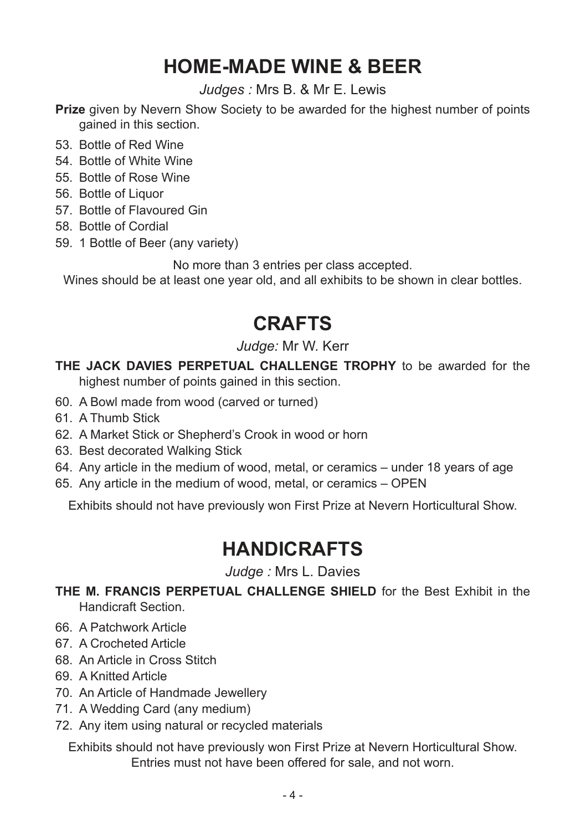# **HOME-MADE WINE & BEER**

*Judges :* Mrs B. & Mr E. Lewis

**Prize** given by Nevern Show Society to be awarded for the highest number of points gained in this section.

- 53. Bottle of Red Wine
- 54. Bottle of White Wine
- 55. Bottle of Rose Wine
- 56. Bottle of Liquor
- 57. Bottle of Flavoured Gin
- 58. Bottle of Cordial
- 59. 1 Bottle of Beer (any variety)

No more than 3 entries per class accepted.

Wines should be at least one year old, and all exhibits to be shown in clear bottles.

# **CRAFTS**

### *Judge:* Mr W. Kerr

### **THE JACK DAVIES PERPETUAL CHALLENGE TROPHY** to be awarded for the highest number of points gained in this section.

- 60. A Bowl made from wood (carved or turned)
- 61. A Thumb Stick
- 62. A Market Stick or Shepherd's Crook in wood or horn
- 63. Best decorated Walking Stick
- 64. Any article in the medium of wood, metal, or ceramics under 18 years of age
- 65. Any article in the medium of wood, metal, or ceramics OPEN

Exhibits should not have previously won First Prize at Nevern Horticultural Show.

### **HANDICRAFTS**

*Judge :* Mrs L. Davies

**THE M. FRANCIS PERPETUAL CHALLENGE SHIELD** for the Best Exhibit in the Handicraft Section.

- 66. A Patchwork Article
- 67. A Crocheted Article
- 68. An Article in Cross Stitch
- 69. A Knitted Article
- 70. An Article of Handmade Jewellery
- 71. A Wedding Card (any medium)
- 72. Any item using natural or recycled materials

Exhibits should not have previously won First Prize at Nevern Horticultural Show. Entries must not have been offered for sale, and not worn.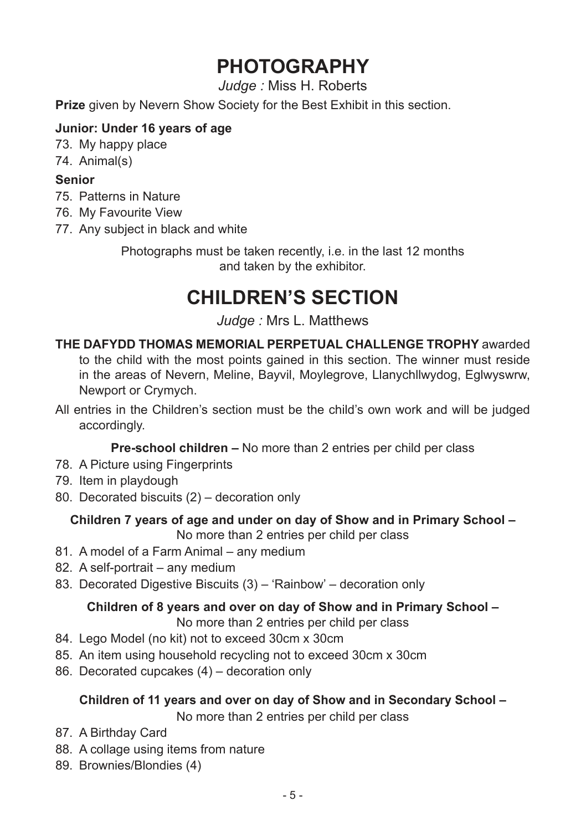# **PHOTOGRAPHY**

*Judge :* Miss H. Roberts

**Prize** given by Nevern Show Society for the Best Exhibit in this section.

### **Junior: Under 16 years of age**

- 73. My happy place
- 74. Animal(s)

#### **Senior**

- 75. Patterns in Nature
- 76. My Favourite View
- 77. Any subject in black and white

Photographs must be taken recently, i.e. in the last 12 months and taken by the exhibitor.

# **CHILDREN'S SECTION**

### *Judge :* Mrs L. Matthews

- **THE DAFYDD THOMAS MEMORIAL PERPETUAL CHALLENGE TROPHY** awarded to the child with the most points gained in this section. The winner must reside in the areas of Nevern, Meline, Bayvil, Moylegrove, Llanychllwydog, Eglwyswrw, Newport or Crymych.
- All entries in the Children's section must be the child's own work and will be judged accordingly.

### **Pre-school children –** No more than 2 entries per child per class

- 78. A Picture using Fingerprints
- 79. Item in playdough
- 80. Decorated biscuits (2) decoration only

### **Children 7 years of age and under on day of Show and in Primary School –**

No more than 2 entries per child per class

- 81. A model of a Farm Animal any medium
- 82. A self-portrait any medium
- 83. Decorated Digestive Biscuits (3) 'Rainbow' decoration only

### **Children of 8 years and over on day of Show and in Primary School –**

No more than 2 entries per child per class

- 84. Lego Model (no kit) not to exceed 30cm x 30cm
- 85. An item using household recycling not to exceed 30cm x 30cm
- 86. Decorated cupcakes (4) decoration only

### **Children of 11 years and over on day of Show and in Secondary School –**

No more than 2 entries per child per class

- 87. A Birthday Card
- 88. A collage using items from nature
- 89. Brownies/Blondies (4)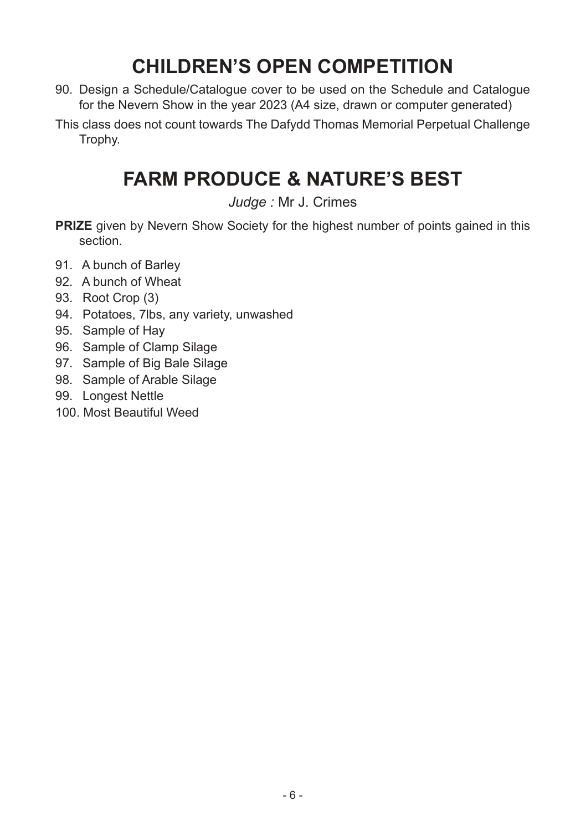# **CHILDREN'S OPEN COMPETITION**

- 90. Design a Schedule/Catalogue cover to be used on the Schedule and Catalogue for the Nevern Show in the year 2023 (A4 size, drawn or computer generated)
- This class does not count towards The Dafydd Thomas Memorial Perpetual Challenge Trophy.

# **FARM PRODUCE & NATURE'S BEST**

*Judge :* Mr J. Crimes

- **PRIZE** given by Nevern Show Society for the highest number of points gained in this section.
- 91. A bunch of Barley
- 92. A bunch of Wheat
- 93. Root Crop (3)
- 94. Potatoes, 7lbs, any variety, unwashed
- 95. Sample of Hay
- 96. Sample of Clamp Silage
- 97. Sample of Big Bale Silage
- 98. Sample of Arable Silage
- 99. Longest Nettle
- 100. Most Beautiful Weed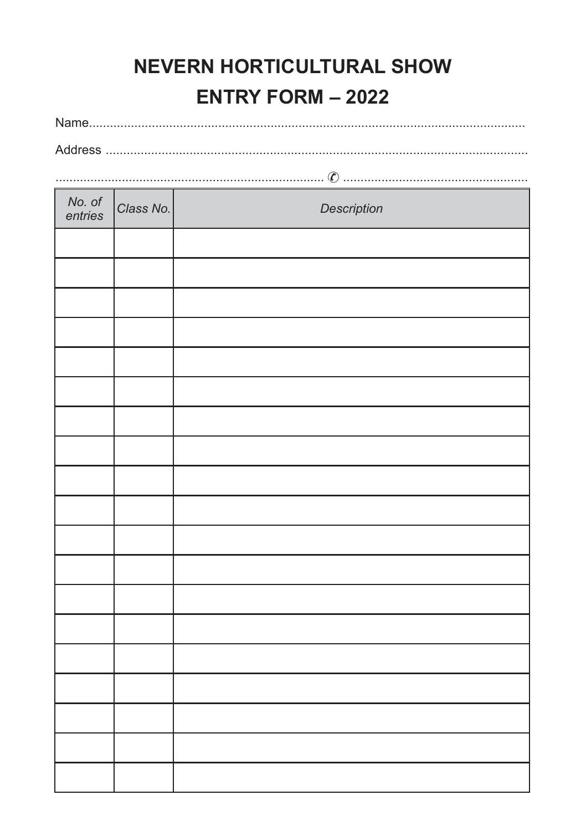# **NEVERN HORTICULTURAL SHOW ENTRY FORM - 2022**

| No. of<br>entries | Class No. | Description |
|-------------------|-----------|-------------|
|                   |           |             |
|                   |           |             |
|                   |           |             |
|                   |           |             |
|                   |           |             |
|                   |           |             |
|                   |           |             |
|                   |           |             |
|                   |           |             |
|                   |           |             |
|                   |           |             |
|                   |           |             |
|                   |           |             |
|                   |           |             |
|                   |           |             |
|                   |           |             |
|                   |           |             |
|                   |           |             |
|                   |           |             |